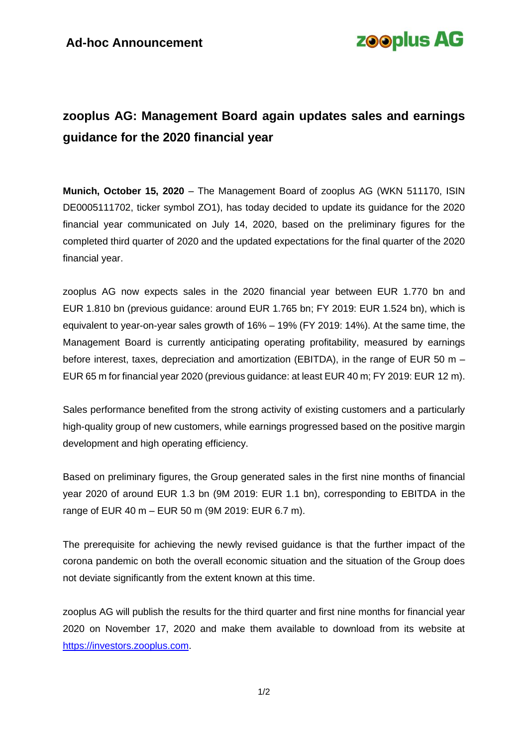

## **zooplus AG: Management Board again updates sales and earnings guidance for the 2020 financial year**

**Munich, October 15, 2020** – The Management Board of zooplus AG (WKN 511170, ISIN DE0005111702, ticker symbol ZO1), has today decided to update its guidance for the 2020 financial year communicated on July 14, 2020, based on the preliminary figures for the completed third quarter of 2020 and the updated expectations for the final quarter of the 2020 financial year.

zooplus AG now expects sales in the 2020 financial year between EUR 1.770 bn and EUR 1.810 bn (previous guidance: around EUR 1.765 bn; FY 2019: EUR 1.524 bn), which is equivalent to year-on-year sales growth of 16% – 19% (FY 2019: 14%). At the same time, the Management Board is currently anticipating operating profitability, measured by earnings before interest, taxes, depreciation and amortization (EBITDA), in the range of EUR 50 m – EUR 65 m for financial year 2020 (previous guidance: at least EUR 40 m; FY 2019: EUR 12 m).

Sales performance benefited from the strong activity of existing customers and a particularly high-quality group of new customers, while earnings progressed based on the positive margin development and high operating efficiency.

Based on preliminary figures, the Group generated sales in the first nine months of financial year 2020 of around EUR 1.3 bn (9M 2019: EUR 1.1 bn), corresponding to EBITDA in the range of EUR 40 m – EUR 50 m (9M 2019: EUR 6.7 m).

The prerequisite for achieving the newly revised guidance is that the further impact of the corona pandemic on both the overall economic situation and the situation of the Group does not deviate significantly from the extent known at this time.

zooplus AG will publish the results for the third quarter and first nine months for financial year 2020 on November 17, 2020 and make them available to download from its website at [https://investors.zooplus.com.](https://investors.zooplus.com/)